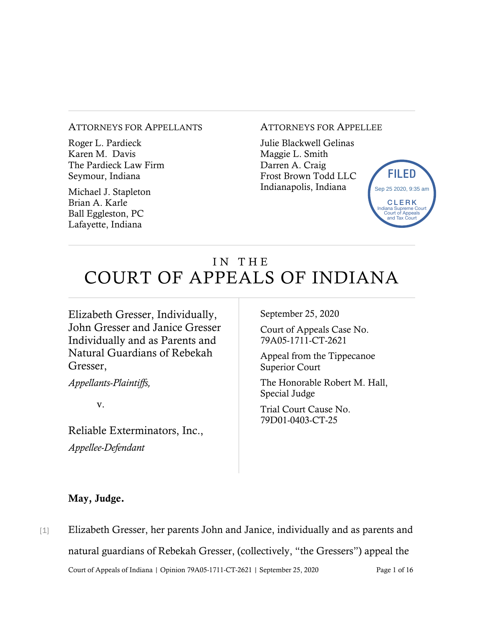#### ATTORNEYS FOR APPELLANTS

Roger L. Pardieck Karen M. Davis The Pardieck Law Firm Seymour, Indiana

Michael J. Stapleton Brian A. Karle Ball Eggleston, PC Lafayette, Indiana

#### ATTORNEYS FOR APPELLEE

Julie Blackwell Gelinas Maggie L. Smith Darren A. Craig Frost Brown Todd LLC Indianapolis, Indiana



# IN THE COURT OF APPEALS OF INDIANA

Elizabeth Gresser, Individually, John Gresser and Janice Gresser Individually and as Parents and Natural Guardians of Rebekah Gresser,

*Appellants-Plaintiffs,* 

v.

Reliable Exterminators, Inc., *Appellee-Defendant*

September 25, 2020

Court of Appeals Case No. 79A05-1711-CT-2621

Appeal from the Tippecanoe Superior Court

The Honorable Robert M. Hall, Special Judge

Trial Court Cause No. 79D01-0403-CT-25

#### May, Judge.

Court of Appeals of Indiana | Opinion 79A05-1711-CT-2621 | September 25, 2020 Page 1 of 16 [1] Elizabeth Gresser, her parents John and Janice, individually and as parents and natural guardians of Rebekah Gresser, (collectively, "the Gressers") appeal the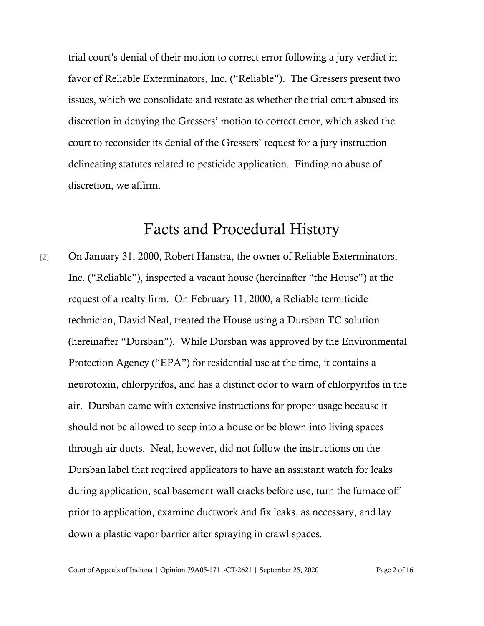trial court's denial of their motion to correct error following a jury verdict in favor of Reliable Exterminators, Inc. ("Reliable"). The Gressers present two issues, which we consolidate and restate as whether the trial court abused its discretion in denying the Gressers' motion to correct error, which asked the court to reconsider its denial of the Gressers' request for a jury instruction delineating statutes related to pesticide application. Finding no abuse of discretion, we affirm.

## Facts and Procedural History

[2] On January 31, 2000, Robert Hanstra, the owner of Reliable Exterminators, Inc. ("Reliable"), inspected a vacant house (hereinafter "the House") at the request of a realty firm. On February 11, 2000, a Reliable termiticide technician, David Neal, treated the House using a Dursban TC solution (hereinafter "Dursban"). While Dursban was approved by the Environmental Protection Agency ("EPA") for residential use at the time, it contains a neurotoxin, chlorpyrifos, and has a distinct odor to warn of chlorpyrifos in the air. Dursban came with extensive instructions for proper usage because it should not be allowed to seep into a house or be blown into living spaces through air ducts. Neal, however, did not follow the instructions on the Dursban label that required applicators to have an assistant watch for leaks during application, seal basement wall cracks before use, turn the furnace off prior to application, examine ductwork and fix leaks, as necessary, and lay down a plastic vapor barrier after spraying in crawl spaces.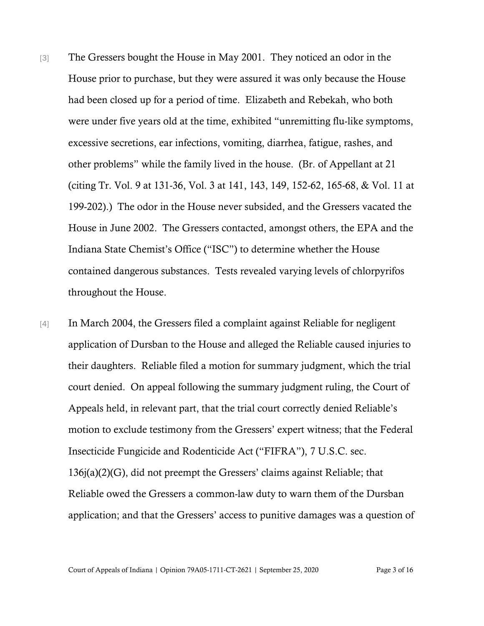- [3] The Gressers bought the House in May 2001. They noticed an odor in the House prior to purchase, but they were assured it was only because the House had been closed up for a period of time. Elizabeth and Rebekah, who both were under five years old at the time, exhibited "unremitting flu-like symptoms, excessive secretions, ear infections, vomiting, diarrhea, fatigue, rashes, and other problems" while the family lived in the house. (Br. of Appellant at 21 (citing Tr. Vol. 9 at 131-36, Vol. 3 at 141, 143, 149, 152-62, 165-68, & Vol. 11 at 199-202).) The odor in the House never subsided, and the Gressers vacated the House in June 2002. The Gressers contacted, amongst others, the EPA and the Indiana State Chemist's Office ("ISC") to determine whether the House contained dangerous substances. Tests revealed varying levels of chlorpyrifos throughout the House.
- [4] In March 2004, the Gressers filed a complaint against Reliable for negligent application of Dursban to the House and alleged the Reliable caused injuries to their daughters. Reliable filed a motion for summary judgment, which the trial court denied. On appeal following the summary judgment ruling, the Court of Appeals held, in relevant part, that the trial court correctly denied Reliable's motion to exclude testimony from the Gressers' expert witness; that the Federal Insecticide Fungicide and Rodenticide Act ("FIFRA"), 7 U.S.C. sec. 136j(a)(2)(G), did not preempt the Gressers' claims against Reliable; that Reliable owed the Gressers a common-law duty to warn them of the Dursban application; and that the Gressers' access to punitive damages was a question of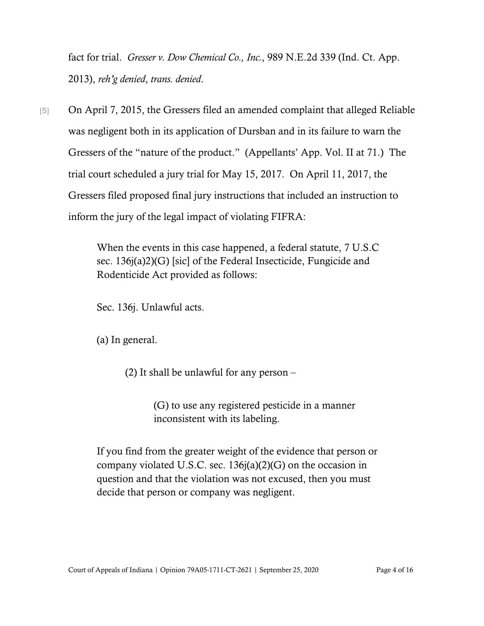fact for trial. *Gresser v. Dow Chemical Co., Inc.*, 989 N.E.2d 339 (Ind. Ct. App. 2013), *reh'g denied*, *trans. denied*.

[5] On April 7, 2015, the Gressers filed an amended complaint that alleged Reliable was negligent both in its application of Dursban and in its failure to warn the Gressers of the "nature of the product." (Appellants' App. Vol. II at 71.) The trial court scheduled a jury trial for May 15, 2017. On April 11, 2017, the Gressers filed proposed final jury instructions that included an instruction to inform the jury of the legal impact of violating FIFRA:

> When the events in this case happened, a federal statute, 7 U.S.C sec. 136j(a)2)(G) [sic] of the Federal Insecticide, Fungicide and Rodenticide Act provided as follows:

Sec. 136j. Unlawful acts.

(a) In general.

(2) It shall be unlawful for any person –

(G) to use any registered pesticide in a manner inconsistent with its labeling.

If you find from the greater weight of the evidence that person or company violated U.S.C. sec. 136j(a)(2)(G) on the occasion in question and that the violation was not excused, then you must decide that person or company was negligent.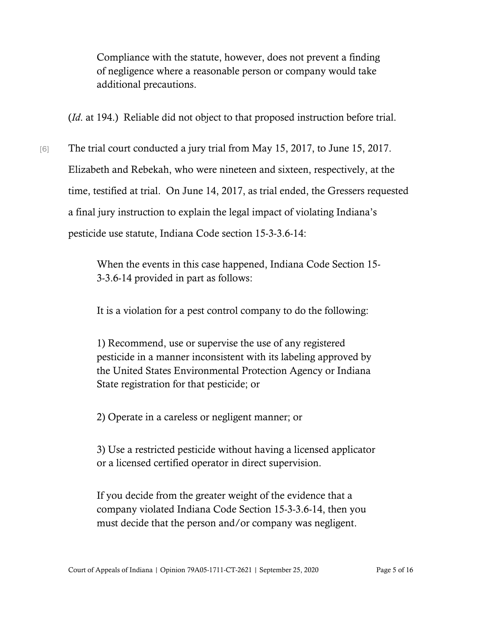Compliance with the statute, however, does not prevent a finding of negligence where a reasonable person or company would take additional precautions.

(*Id*. at 194.) Reliable did not object to that proposed instruction before trial.

[6] The trial court conducted a jury trial from May 15, 2017, to June 15, 2017. Elizabeth and Rebekah, who were nineteen and sixteen, respectively, at the time, testified at trial. On June 14, 2017, as trial ended, the Gressers requested a final jury instruction to explain the legal impact of violating Indiana's pesticide use statute, Indiana Code section 15-3-3.6-14:

> When the events in this case happened, Indiana Code Section 15- 3-3.6-14 provided in part as follows:

It is a violation for a pest control company to do the following:

1) Recommend, use or supervise the use of any registered pesticide in a manner inconsistent with its labeling approved by the United States Environmental Protection Agency or Indiana State registration for that pesticide; or

2) Operate in a careless or negligent manner; or

3) Use a restricted pesticide without having a licensed applicator or a licensed certified operator in direct supervision.

If you decide from the greater weight of the evidence that a company violated Indiana Code Section 15-3-3.6-14, then you must decide that the person and/or company was negligent.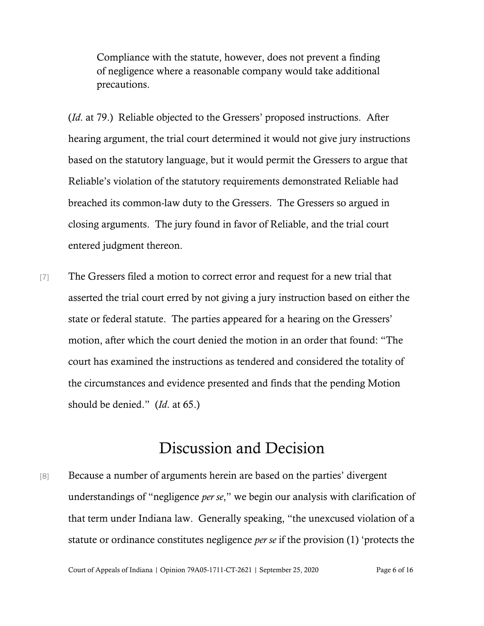Compliance with the statute, however, does not prevent a finding of negligence where a reasonable company would take additional precautions.

(*Id*. at 79.) Reliable objected to the Gressers' proposed instructions. After hearing argument, the trial court determined it would not give jury instructions based on the statutory language, but it would permit the Gressers to argue that Reliable's violation of the statutory requirements demonstrated Reliable had breached its common-law duty to the Gressers. The Gressers so argued in closing arguments. The jury found in favor of Reliable, and the trial court entered judgment thereon.

[7] The Gressers filed a motion to correct error and request for a new trial that asserted the trial court erred by not giving a jury instruction based on either the state or federal statute. The parties appeared for a hearing on the Gressers' motion, after which the court denied the motion in an order that found: "The court has examined the instructions as tendered and considered the totality of the circumstances and evidence presented and finds that the pending Motion should be denied." (*Id*. at 65.)

## Discussion and Decision

[8] Because a number of arguments herein are based on the parties' divergent understandings of "negligence *per se*," we begin our analysis with clarification of that term under Indiana law. Generally speaking, "the unexcused violation of a statute or ordinance constitutes negligence *per se* if the provision (1) 'protects the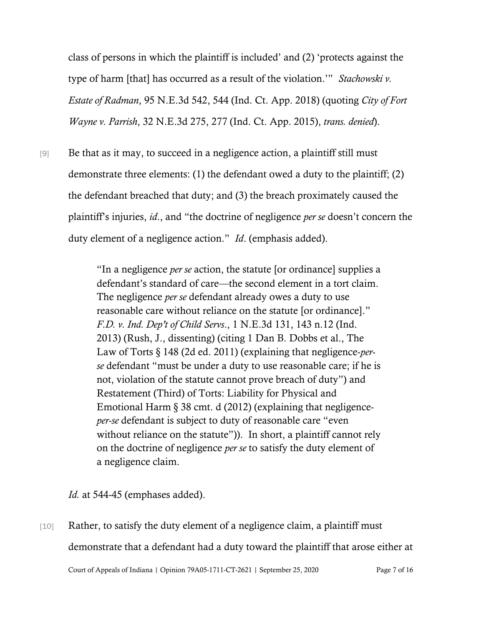class of persons in which the plaintiff is included' and (2) 'protects against the type of harm [that] has occurred as a result of the violation.'" *Stachowski v. Estate of Radman*, 95 N.E.3d 542, 544 (Ind. Ct. App. 2018) (quoting *City of Fort Wayne v. Parrish*, 32 N.E.3d 275, 277 (Ind. Ct. App. 2015), *trans. denied*).

[9] Be that as it may, to succeed in a negligence action, a plaintiff still must demonstrate three elements: (1) the defendant owed a duty to the plaintiff; (2) the defendant breached that duty; and (3) the breach proximately caused the plaintiff's injuries, *id*., and "the doctrine of negligence *per se* doesn't concern the duty element of a negligence action." *Id*. (emphasis added).

> "In a negligence *per se* action, the statute [or ordinance] supplies a defendant's standard of care—the second element in a tort claim. The negligence *per se* defendant already owes a duty to use reasonable care without reliance on the statute [or ordinance]." *F.D. v. Ind. Dep't of Child Servs*., 1 N.E.3d 131, 143 n.12 (Ind. 2013) (Rush, J., dissenting) (citing 1 Dan B. Dobbs et al., The Law of Torts § 148 (2d ed. 2011) (explaining that negligence-*perse* defendant "must be under a duty to use reasonable care; if he is not, violation of the statute cannot prove breach of duty") and Restatement (Third) of Torts: Liability for Physical and Emotional Harm § 38 cmt. d (2012) (explaining that negligence*per-se* defendant is subject to duty of reasonable care "even without reliance on the statute")). In short, a plaintiff cannot rely on the doctrine of negligence *per se* to satisfy the duty element of a negligence claim.

*Id.* at 544-45 (emphases added).

[10] Rather, to satisfy the duty element of a negligence claim, a plaintiff must demonstrate that a defendant had a duty toward the plaintiff that arose either at

Court of Appeals of Indiana | Opinion 79A05-1711-CT-2621 | September 25, 2020 Page 7 of 16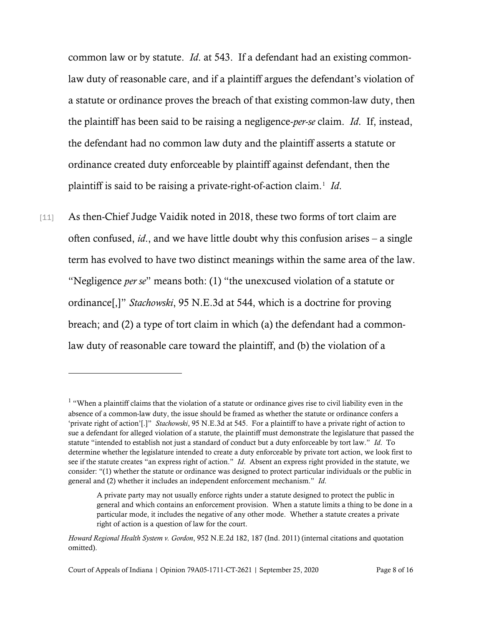common law or by statute. *Id*. at 543. If a defendant had an existing commonlaw duty of reasonable care, and if a plaintiff argues the defendant's violation of a statute or ordinance proves the breach of that existing common-law duty, then the plaintiff has been said to be raising a negligence-*per-se* claim. *Id*. If, instead, the defendant had no common law duty and the plaintiff asserts a statute or ordinance created duty enforceable by plaintiff against defendant, then the plaintiff is said to be raising a private-right-of-action claim.[1](#page-7-0) *Id*.

[11] As then-Chief Judge Vaidik noted in 2018, these two forms of tort claim are often confused, *id*., and we have little doubt why this confusion arises – a single term has evolved to have two distinct meanings within the same area of the law. "Negligence *per se*" means both: (1) "the unexcused violation of a statute or ordinance[,]" *Stachowski*, 95 N.E.3d at 544, which is a doctrine for proving breach; and (2) a type of tort claim in which (a) the defendant had a commonlaw duty of reasonable care toward the plaintiff, and (b) the violation of a

<span id="page-7-0"></span> $1$  "When a plaintiff claims that the violation of a statute or ordinance gives rise to civil liability even in the absence of a common-law duty, the issue should be framed as whether the statute or ordinance confers a 'private right of action'[.]" *Stachowski*, 95 N.E.3d at 545. For a plaintiff to have a private right of action to sue a defendant for alleged violation of a statute, the plaintiff must demonstrate the legislature that passed the statute "intended to establish not just a standard of conduct but a duty enforceable by tort law." *Id*. To determine whether the legislature intended to create a duty enforceable by private tort action, we look first to see if the statute creates "an express right of action." *Id*. Absent an express right provided in the statute, we consider: "(1) whether the statute or ordinance was designed to protect particular individuals or the public in general and (2) whether it includes an independent enforcement mechanism." *Id*.

A private party may not usually enforce rights under a statute designed to protect the public in general and which contains an enforcement provision. When a statute limits a thing to be done in a particular mode, it includes the negative of any other mode. Whether a statute creates a private right of action is a question of law for the court.

*Howard Regional Health System v. Gordon*, 952 N.E.2d 182, 187 (Ind. 2011) (internal citations and quotation omitted).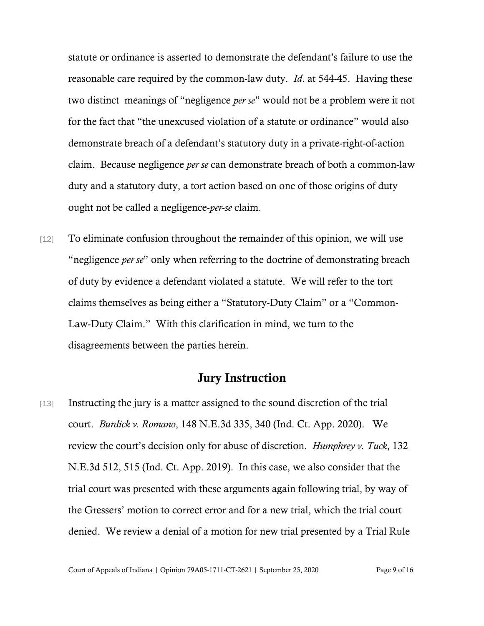statute or ordinance is asserted to demonstrate the defendant's failure to use the reasonable care required by the common-law duty. *Id*. at 544-45. Having these two distinct meanings of "negligence *per se*" would not be a problem were it not for the fact that "the unexcused violation of a statute or ordinance" would also demonstrate breach of a defendant's statutory duty in a private-right-of-action claim. Because negligence *per se* can demonstrate breach of both a common-law duty and a statutory duty, a tort action based on one of those origins of duty ought not be called a negligence-*per-se* claim.

[12] To eliminate confusion throughout the remainder of this opinion, we will use "negligence *per se*" only when referring to the doctrine of demonstrating breach of duty by evidence a defendant violated a statute. We will refer to the tort claims themselves as being either a "Statutory-Duty Claim" or a "Common-Law-Duty Claim." With this clarification in mind, we turn to the disagreements between the parties herein.

### Jury Instruction

[13] Instructing the jury is a matter assigned to the sound discretion of the trial court. *Burdick v. Romano*, 148 N.E.3d 335, 340 (Ind. Ct. App. 2020). We review the court's decision only for abuse of discretion. *Humphrey v. Tuck*, 132 N.E.3d 512, 515 (Ind. Ct. App. 2019). In this case, we also consider that the trial court was presented with these arguments again following trial, by way of the Gressers' motion to correct error and for a new trial, which the trial court denied. We review a denial of a motion for new trial presented by a Trial Rule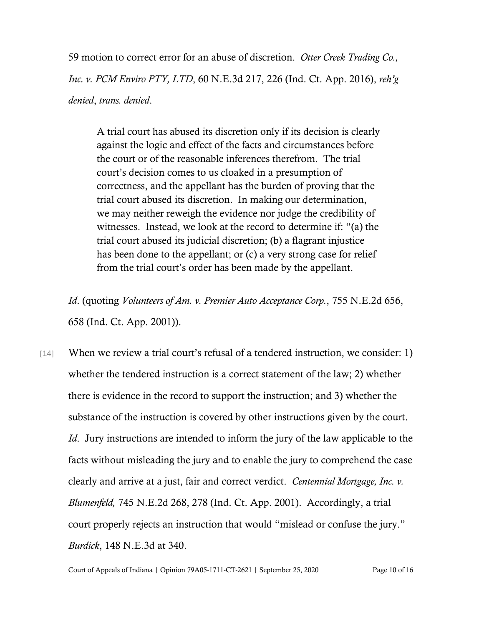59 motion to correct error for an abuse of discretion. *Otter Creek Trading Co., Inc. v. PCM Enviro PTY, LTD*, 60 N.E.3d 217, 226 (Ind. Ct. App. 2016), *reh'g denied*, *trans. denied*.

A trial court has abused its discretion only if its decision is clearly against the logic and effect of the facts and circumstances before the court or of the reasonable inferences therefrom. The trial court's decision comes to us cloaked in a presumption of correctness, and the appellant has the burden of proving that the trial court abused its discretion. In making our determination, we may neither reweigh the evidence nor judge the credibility of witnesses. Instead, we look at the record to determine if: "(a) the trial court abused its judicial discretion; (b) a flagrant injustice has been done to the appellant; or (c) a very strong case for relief from the trial court's order has been made by the appellant.

*Id*. (quoting *Volunteers of Am. v. Premier Auto Acceptance Corp.*, 755 N.E.2d 656, 658 (Ind. Ct. App. 2001)).

[14] When we review a trial court's refusal of a tendered instruction, we consider: 1) whether the tendered instruction is a correct statement of the law; 2) whether there is evidence in the record to support the instruction; and 3) whether the substance of the instruction is covered by other instructions given by the court. *Id*. Jury instructions are intended to inform the jury of the law applicable to the facts without misleading the jury and to enable the jury to comprehend the case clearly and arrive at a just, fair and correct verdict. *Centennial Mortgage, Inc. v. Blumenfeld,* 745 N.E.2d 268, 278 (Ind. Ct. App. 2001). Accordingly, a trial court properly rejects an instruction that would "mislead or confuse the jury." *Burdick*, 148 N.E.3d at 340.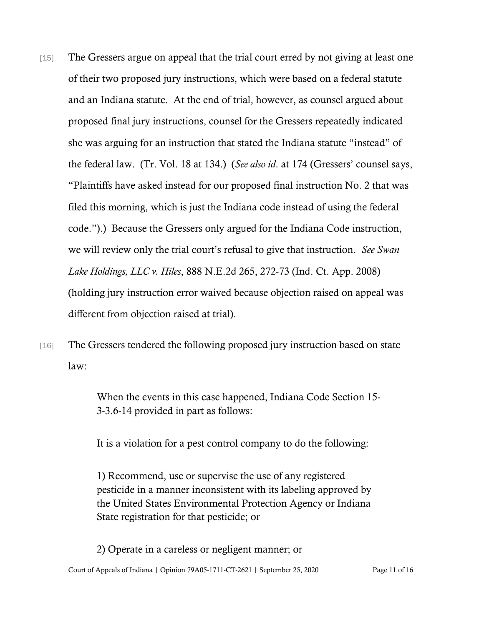- [15] The Gressers argue on appeal that the trial court erred by not giving at least one of their two proposed jury instructions, which were based on a federal statute and an Indiana statute. At the end of trial, however, as counsel argued about proposed final jury instructions, counsel for the Gressers repeatedly indicated she was arguing for an instruction that stated the Indiana statute "instead" of the federal law. (Tr. Vol. 18 at 134.) (*See also id*. at 174 (Gressers' counsel says, "Plaintiffs have asked instead for our proposed final instruction No. 2 that was filed this morning, which is just the Indiana code instead of using the federal code.").) Because the Gressers only argued for the Indiana Code instruction, we will review only the trial court's refusal to give that instruction. *See Swan Lake Holdings, LLC v. Hiles*, 888 N.E.2d 265, 272-73 (Ind. Ct. App. 2008) (holding jury instruction error waived because objection raised on appeal was different from objection raised at trial).
- [16] The Gressers tendered the following proposed jury instruction based on state law:

When the events in this case happened, Indiana Code Section 15- 3-3.6-14 provided in part as follows:

It is a violation for a pest control company to do the following:

1) Recommend, use or supervise the use of any registered pesticide in a manner inconsistent with its labeling approved by the United States Environmental Protection Agency or Indiana State registration for that pesticide; or

Court of Appeals of Indiana | Opinion 79A05-1711-CT-2621 | September 25, 2020 Page 11 of 16 2) Operate in a careless or negligent manner; or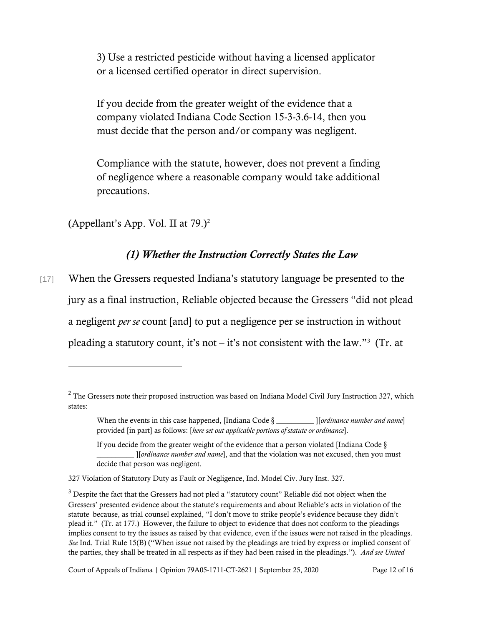3) Use a restricted pesticide without having a licensed applicator or a licensed certified operator in direct supervision.

If you decide from the greater weight of the evidence that a company violated Indiana Code Section 15-3-3.6-14, then you must decide that the person and/or company was negligent.

Compliance with the statute, however, does not prevent a finding of negligence where a reasonable company would take additional precautions.

(Appellant's App. Vol. II at  $79.$ )<sup>[2](#page-11-0)</sup>

### *(1) Whether the Instruction Correctly States the Law*

[17] When the Gressers requested Indiana's statutory language be presented to the jury as a final instruction, Reliable objected because the Gressers "did not plead a negligent *per se* count [and] to put a negligence per se instruction in without pleading a statutory count, it's not – it's not consistent with the law."<sup>[3](#page-11-1)</sup> (Tr. at

<span id="page-11-0"></span><sup>&</sup>lt;sup>2</sup> The Gressers note their proposed instruction was based on Indiana Model Civil Jury Instruction 327, which states:

When the events in this case happened, [Indiana Code § \_\_\_\_\_\_\_\_\_\_ ][*ordinance number and name*] provided [in part] as follows: [*here set out applicable portions of statute or ordinance*].

If you decide from the greater weight of the evidence that a person violated [Indiana Code § \_\_\_\_\_\_\_\_\_\_ ][*ordinance number and name*], and that the violation was not excused, then you must decide that person was negligent.

<sup>327</sup> Violation of Statutory Duty as Fault or Negligence, Ind. Model Civ. Jury Inst. 327.

<span id="page-11-1"></span> $3$  Despite the fact that the Gressers had not pled a "statutory count" Reliable did not object when the Gressers' presented evidence about the statute's requirements and about Reliable's acts in violation of the statute because, as trial counsel explained, "I don't move to strike people's evidence because they didn't plead it." (Tr. at 177.) However, the failure to object to evidence that does not conform to the pleadings implies consent to try the issues as raised by that evidence, even if the issues were not raised in the pleadings. *See* Ind. Trial Rule 15(B) ("When issue not raised by the pleadings are tried by express or implied consent of the parties, they shall be treated in all respects as if they had been raised in the pleadings."). *And see United*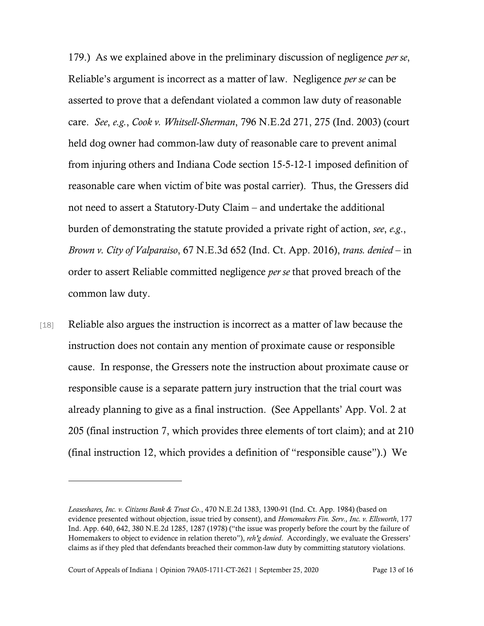179.) As we explained above in the preliminary discussion of negligence *per se*, Reliable's argument is incorrect as a matter of law. Negligence *per se* can be asserted to prove that a defendant violated a common law duty of reasonable care. *See*, *e.g.*, *Cook v. Whitsell-Sherman*, 796 N.E.2d 271, 275 (Ind. 2003) (court held dog owner had common-law duty of reasonable care to prevent animal from injuring others and Indiana Code section 15-5-12-1 imposed definition of reasonable care when victim of bite was postal carrier). Thus, the Gressers did not need to assert a Statutory-Duty Claim – and undertake the additional burden of demonstrating the statute provided a private right of action, *see*, *e.g*., *Brown v. City of Valparaiso*, 67 N.E.3d 652 (Ind. Ct. App. 2016), *trans. denied* – in order to assert Reliable committed negligence *per se* that proved breach of the common law duty.

[18] Reliable also argues the instruction is incorrect as a matter of law because the instruction does not contain any mention of proximate cause or responsible cause. In response, the Gressers note the instruction about proximate cause or responsible cause is a separate pattern jury instruction that the trial court was already planning to give as a final instruction. (See Appellants' App. Vol. 2 at 205 (final instruction 7, which provides three elements of tort claim); and at 210 (final instruction 12, which provides a definition of "responsible cause").) We

*Leaseshares, Inc. v. Citizens Bank & Trust Co*., 470 N.E.2d 1383, 1390-91 (Ind. Ct. App. 1984) (based on evidence presented without objection, issue tried by consent), and *Homemakers Fin. Serv., Inc. v. Ellsworth*, 177 Ind. App. 640, 642, 380 N.E.2d 1285, 1287 (1978) ("the issue was properly before the court by the failure of Homemakers to object to evidence in relation thereto"), *reh'g denied*. Accordingly, we evaluate the Gressers' claims as if they pled that defendants breached their common-law duty by committing statutory violations.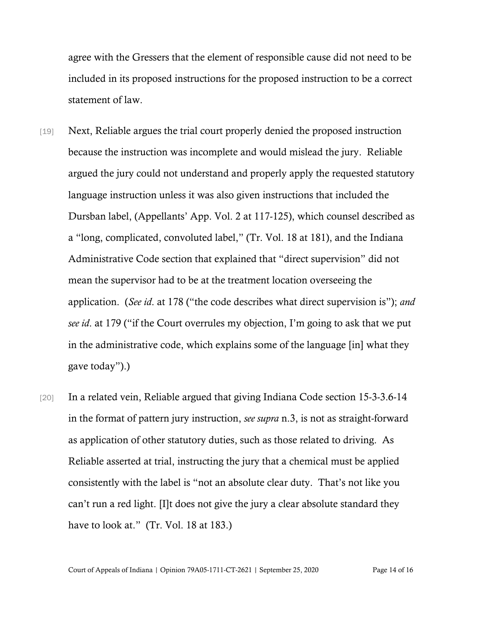agree with the Gressers that the element of responsible cause did not need to be included in its proposed instructions for the proposed instruction to be a correct statement of law.

- [19] Next, Reliable argues the trial court properly denied the proposed instruction because the instruction was incomplete and would mislead the jury. Reliable argued the jury could not understand and properly apply the requested statutory language instruction unless it was also given instructions that included the Dursban label, (Appellants' App. Vol. 2 at 117-125), which counsel described as a "long, complicated, convoluted label," (Tr. Vol. 18 at 181), and the Indiana Administrative Code section that explained that "direct supervision" did not mean the supervisor had to be at the treatment location overseeing the application. (*See id*. at 178 ("the code describes what direct supervision is"); *and see id*. at 179 ("if the Court overrules my objection, I'm going to ask that we put in the administrative code, which explains some of the language [in] what they gave today").)
- [20] In a related vein, Reliable argued that giving Indiana Code section 15-3-3.6-14 in the format of pattern jury instruction, *see supra* n.3, is not as straight-forward as application of other statutory duties, such as those related to driving. As Reliable asserted at trial, instructing the jury that a chemical must be applied consistently with the label is "not an absolute clear duty. That's not like you can't run a red light. [I]t does not give the jury a clear absolute standard they have to look at." (Tr. Vol. 18 at 183.)

Court of Appeals of Indiana | Opinion 79A05-1711-CT-2621 | September 25, 2020 Page 14 of 16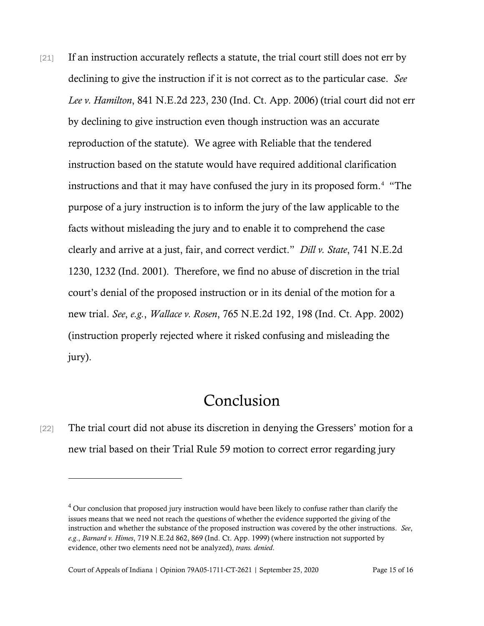[21] If an instruction accurately reflects a statute, the trial court still does not err by declining to give the instruction if it is not correct as to the particular case. *See Lee v. Hamilton*, 841 N.E.2d 223, 230 (Ind. Ct. App. 2006) (trial court did not err by declining to give instruction even though instruction was an accurate reproduction of the statute). We agree with Reliable that the tendered instruction based on the statute would have required additional clarification instructions and that it may have confused the jury in its proposed form.<sup>4</sup> "The purpose of a jury instruction is to inform the jury of the law applicable to the facts without misleading the jury and to enable it to comprehend the case clearly and arrive at a just, fair, and correct verdict." *Dill v. State*, 741 N.E.2d 1230, 1232 (Ind. 2001). Therefore, we find no abuse of discretion in the trial court's denial of the proposed instruction or in its denial of the motion for a new trial. *See*, *e.g.*, *Wallace v. Rosen*, 765 N.E.2d 192, 198 (Ind. Ct. App. 2002) (instruction properly rejected where it risked confusing and misleading the jury).

## Conclusion

[22] The trial court did not abuse its discretion in denying the Gressers' motion for a new trial based on their Trial Rule 59 motion to correct error regarding jury

<span id="page-14-0"></span> $4$  Our conclusion that proposed jury instruction would have been likely to confuse rather than clarify the issues means that we need not reach the questions of whether the evidence supported the giving of the instruction and whether the substance of the proposed instruction was covered by the other instructions. *See*, *e.g*., *Barnard v. Himes*, 719 N.E.2d 862, 869 (Ind. Ct. App. 1999) (where instruction not supported by evidence, other two elements need not be analyzed), *trans. denied*.